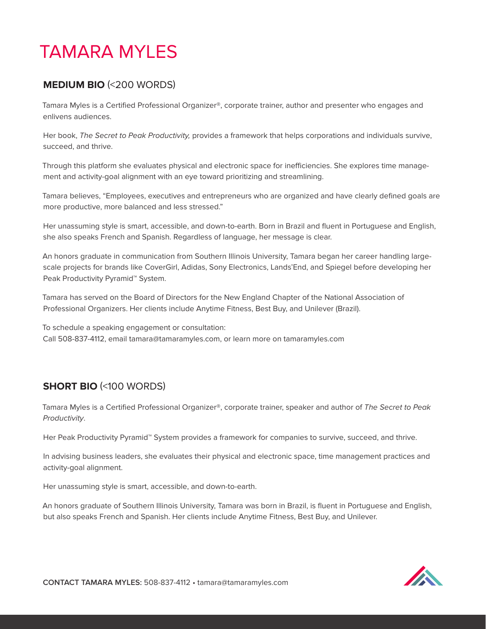# TAMARA MYLES

## **MEDIUM BIO** (<200 WORDS)

Tamara Myles is a Certified Professional Organizer®, corporate trainer, author and presenter who engages and enlivens audiences.

Her book, The Secret to Peak Productivity, provides a framework that helps corporations and individuals survive, succeed, and thrive.

Through this platform she evaluates physical and electronic space for inefficiencies. She explores time management and activity-goal alignment with an eye toward prioritizing and streamlining.

Tamara believes, "Employees, executives and entrepreneurs who are organized and have clearly defined goals are more productive, more balanced and less stressed."

Her unassuming style is smart, accessible, and down-to-earth. Born in Brazil and fluent in Portuguese and English, she also speaks French and Spanish. Regardless of language, her message is clear.

An honors graduate in communication from Southern Illinois University, Tamara began her career handling largescale projects for brands like CoverGirl, Adidas, Sony Electronics, Lands'End, and Spiegel before developing her Peak Productivity Pyramid<sup>™</sup> System.

Tamara has served on the Board of Directors for the New England Chapter of the National Association of Professional Organizers. Her clients include Anytime Fitness, Best Buy, and Unilever (Brazil).

To schedule a speaking engagement or consultation: Call 508-837-4112, email tamara@tamaramyles.com, or learn more on tamaramyles.com

# **SHORT BIO** (<100 WORDS)

Tamara Myles is a Certified Professional Organizer®, corporate trainer, speaker and author of The Secret to Peak Productivity.

Her Peak Productivity Pyramid™ System provides a framework for companies to survive, succeed, and thrive.

In advising business leaders, she evaluates their physical and electronic space, time management practices and activity-goal alignment.

Her unassuming style is smart, accessible, and down-to-earth.

An honors graduate of Southern Illinois University, Tamara was born in Brazil, is fluent in Portuguese and English, but also speaks French and Spanish. Her clients include Anytime Fitness, Best Buy, and Unilever.